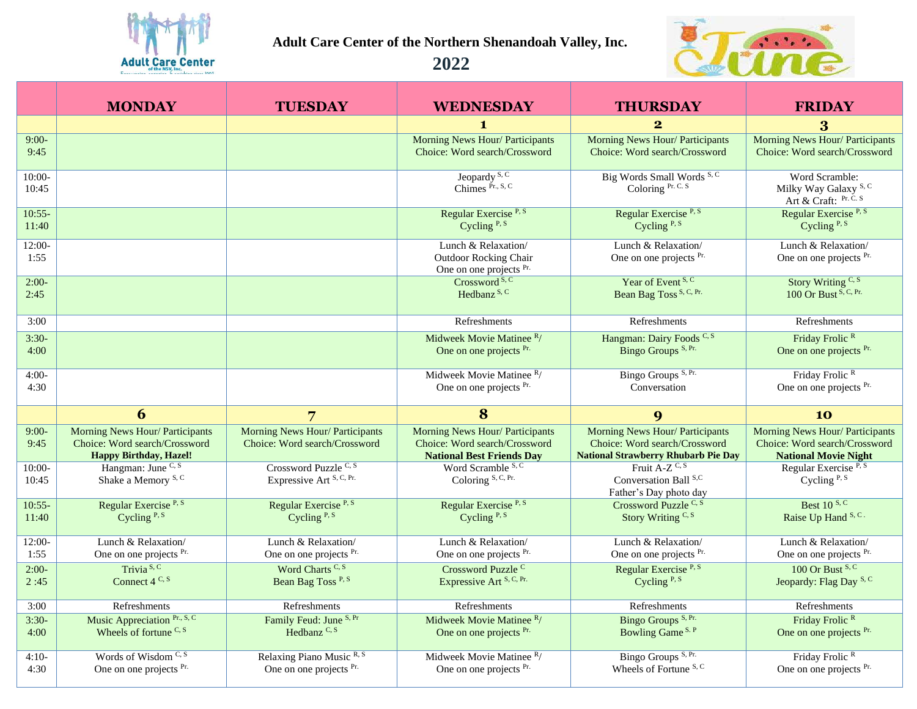

**Adult Care Center of the Northern Shenandoah Valley, Inc.** 

## **2022**



|                   | <b>MONDAY</b>                                                                                     | <b>TUESDAY</b>                                                          | <b>WEDNESDAY</b>                                                                                            | <b>THURSDAY</b>                                                                                                       | <b>FRIDAY</b>                                                                                          |
|-------------------|---------------------------------------------------------------------------------------------------|-------------------------------------------------------------------------|-------------------------------------------------------------------------------------------------------------|-----------------------------------------------------------------------------------------------------------------------|--------------------------------------------------------------------------------------------------------|
|                   |                                                                                                   |                                                                         | $\mathbf{1}$                                                                                                | $\bf{2}$                                                                                                              | 3                                                                                                      |
| $9:00-$<br>9:45   |                                                                                                   |                                                                         | <b>Morning News Hour/ Participants</b><br>Choice: Word search/Crossword                                     | <b>Morning News Hour/ Participants</b><br>Choice: Word search/Crossword                                               | <b>Morning News Hour/ Participants</b><br>Choice: Word search/Crossword                                |
| $10:00-$<br>10:45 |                                                                                                   |                                                                         | Jeopardy <sup>S, C</sup><br>Chimes Pr., S, C                                                                | Big Words Small Words S.C.<br>Coloring Pr. C. S                                                                       | Word Scramble:<br>Milky Way Galaxy S, C<br>Art & Craft: Pr. C. S                                       |
| $10:55-$<br>11:40 |                                                                                                   |                                                                         | Regular Exercise <sup>P, S</sup><br>Cycling $P, S$                                                          | Regular Exercise <sup>P, S</sup><br>Cycling $P, S$                                                                    | Regular Exercise <sup>P, S</sup><br>Cycling $P, S$                                                     |
| $12:00-$<br>1:55  |                                                                                                   |                                                                         | Lunch & Relaxation/<br><b>Outdoor Rocking Chair</b><br>One on one projects Pr.                              | Lunch & Relaxation/<br>One on one projects Pr.                                                                        | Lunch & Relaxation/<br>One on one projects Pr.                                                         |
| $2:00-$<br>2:45   |                                                                                                   |                                                                         | Crossword <sup>S, C</sup><br>Hedbanz <sup>S, C</sup>                                                        | Year of Event <sup>S, C</sup><br>Bean Bag Toss <sup>S, C, Pr.</sup>                                                   | Story Writing <sup>C, S</sup><br>100 Or Bust $S, C, Pr$ .                                              |
| 3:00              |                                                                                                   |                                                                         | Refreshments                                                                                                | Refreshments                                                                                                          | Refreshments                                                                                           |
| $3:30-$<br>4:00   |                                                                                                   |                                                                         | Midweek Movie Matinee R/<br>One on one projects Pr.                                                         | Hangman: Dairy Foods <sup>C, S</sup><br>Bingo Groups <sup>S, Pr.</sup>                                                | Friday Frolic <sup>R</sup><br>One on one projects Pr.                                                  |
| $4:00-$<br>4:30   |                                                                                                   |                                                                         | Midweek Movie Matinee <sup>R</sup> /<br>One on one projects Pr.                                             | Bingo Groups <sup>S, Pr.</sup><br>Conversation                                                                        | Friday Frolic <sup>R</sup><br>One on one projects Pr.                                                  |
|                   | 6                                                                                                 |                                                                         | 8                                                                                                           | 9                                                                                                                     | 10                                                                                                     |
| $9:00-$<br>9:45   | Morning News Hour/ Participants<br>Choice: Word search/Crossword<br><b>Happy Birthday, Hazel!</b> | <b>Morning News Hour/ Participants</b><br>Choice: Word search/Crossword | <b>Morning News Hour/ Participants</b><br>Choice: Word search/Crossword<br><b>National Best Friends Day</b> | <b>Morning News Hour/ Participants</b><br>Choice: Word search/Crossword<br><b>National Strawberry Rhubarb Pie Day</b> | <b>Morning News Hour/ Participants</b><br>Choice: Word search/Crossword<br><b>National Movie Night</b> |
| $10:00-$<br>10:45 | Hangman: June C, S<br>Shake a Memory <sup>S, C</sup>                                              | Crossword Puzzle <sup>C, S</sup><br>Expressive Art S, C, Pr.            | Word Scramble S <sub>, C</sub><br>Coloring S, C, Pr.                                                        | Fruit A- $Z^{C, S}$<br>Conversation Ball S,C<br>Father's Day photo day                                                | Regular Exercise <sup>P, S</sup><br>Cycling $P, S$                                                     |
| $10:55-$<br>11:40 | Regular Exercise <sup>P, S</sup><br>Cycling $P, S$                                                | Regular Exercise <sup>P, S</sup><br>Cycling $P, S$                      | Regular Exercise <sup>P, S</sup><br>Cycling <sup>P, S</sup>                                                 | Crossword Puzzle C, S<br>Story Writing C, S                                                                           | <b>Best 10 S, C</b><br>Raise Up Hand S, C.                                                             |
| $12:00-$<br>1:55  | Lunch & Relaxation/<br>One on one projects Pr.                                                    | Lunch & Relaxation/<br>One on one projects <sup>Pr.</sup>               | Lunch & Relaxation/<br>One on one projects Pr.                                                              | Lunch & Relaxation/<br>One on one projects Pr.                                                                        | Lunch & Relaxation/<br>One on one projects Pr.                                                         |
| $2:00-$<br>2:45   | Trivia <sup>S, C</sup><br>Connect $4^{C, S}$                                                      | Word Charts <sup>C, S</sup><br>Bean Bag Toss <sup>P, S</sup>            | Crossword Puzzle C<br>Expressive Art S, C, Pr.                                                              | Regular Exercise <sup>P, S</sup><br>Cycling $P, S$                                                                    | 100 Or Bust $S, C$<br>Jeopardy: Flag Day <sup>S, C</sup>                                               |
| 3:00              | Refreshments                                                                                      | Refreshments                                                            | <b>Refreshments</b>                                                                                         | Refreshments                                                                                                          | Refreshments                                                                                           |
| $3:30-$<br>4:00   | Music Appreciation Pr., S, C<br>Wheels of fortune C, S                                            | Family Feud: June S, Pr<br>Hedbanz $C, S$                               | Midweek Movie Matinee <sup>R</sup> /<br>One on one projects Pr.                                             | Bingo Groups <sup>S, Pr.</sup><br>Bowling Game <sup>S. P</sup>                                                        | Friday Frolic <sup>R</sup><br>One on one projects Pr.                                                  |
| $4:10-$<br>4:30   | Words of Wisdom $C, S$<br>One on one projects <sup>Pr.</sup>                                      | Relaxing Piano Music R, S<br>One on one projects <sup>Pr.</sup>         | Midweek Movie Matinee <sup>R</sup> /<br>One on one projects Pr.                                             | Bingo Groups <sup>S, Pr.</sup><br>Wheels of Fortune <sup>S, C</sup>                                                   | Friday Frolic <sup>R</sup><br>One on one projects Pr.                                                  |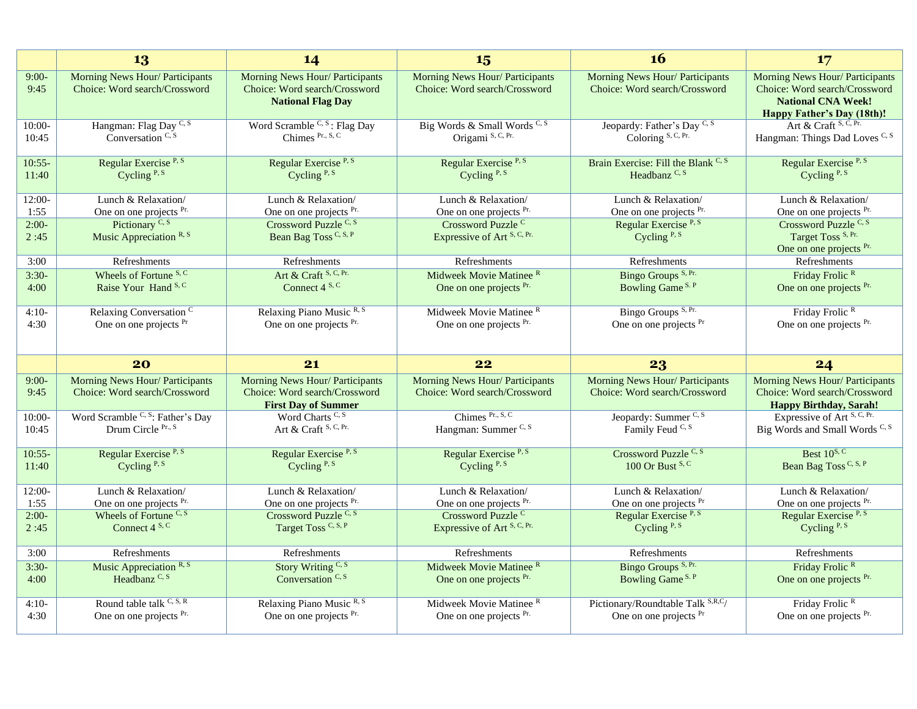|                 | 13                                                                      | 14                                                                                                   | 15                                                                      | <b>16</b>                                                               | 17                                                                                                                                 |
|-----------------|-------------------------------------------------------------------------|------------------------------------------------------------------------------------------------------|-------------------------------------------------------------------------|-------------------------------------------------------------------------|------------------------------------------------------------------------------------------------------------------------------------|
| $9:00-$<br>9:45 | Morning News Hour/ Participants<br>Choice: Word search/Crossword        | <b>Morning News Hour/ Participants</b><br>Choice: Word search/Crossword<br><b>National Flag Day</b>  | <b>Morning News Hour/ Participants</b><br>Choice: Word search/Crossword | Morning News Hour/ Participants<br>Choice: Word search/Crossword        | <b>Morning News Hour/ Participants</b><br>Choice: Word search/Crossword<br><b>National CNA Week!</b><br>Happy Father's Day (18th)! |
| $10:00-$        | Hangman: Flag Day C, S                                                  | Word Scramble $C, S$ : Flag Day                                                                      | Big Words & Small Words C, S                                            | Jeopardy: Father's Day C, S                                             | Art & Craft S, C, Pr.                                                                                                              |
| 10:45           | Conversation $C, S$                                                     | Chimes Pr., S, C                                                                                     | Origami S, C, Pr.                                                       | Coloring S, C, Pr.                                                      | Hangman: Things Dad Loves C, S                                                                                                     |
| $10:55-$        | Regular Exercise <sup>P, S</sup>                                        | Regular Exercise <sup>P, S</sup>                                                                     | Regular Exercise <sup>P, S</sup>                                        | Brain Exercise: Fill the Blank C, S                                     | Regular Exercise <sup>P, S</sup>                                                                                                   |
| 11:40           | Cycling $P, S$                                                          | Cycling $P, S$                                                                                       | Cycling $P, S$                                                          | Headbanz <sup>C, S</sup>                                                | Cycling $P, S$                                                                                                                     |
| 12:00-          | Lunch & Relaxation/                                                     | Lunch & Relaxation/                                                                                  | Lunch & Relaxation/                                                     | Lunch & Relaxation/                                                     | Lunch & Relaxation/                                                                                                                |
| 1:55            | One on one projects Pr.                                                 | One on one projects Pr.                                                                              | One on one projects Pr.                                                 | One on one projects Pr.                                                 | One on one projects Pr.                                                                                                            |
| $2:00-$         | Pictionary $C, S$                                                       | Crossword Puzzle C, S                                                                                | Crossword Puzzle <sup>C</sup>                                           | Regular Exercise <sup>P, S</sup>                                        | Crossword Puzzle C, S                                                                                                              |
| 2:45<br>3:00    | Music Appreciation <sup>R, S</sup><br>Refreshments                      | Bean Bag Toss C, S, P<br>Refreshments                                                                | Expressive of Art S, C, Pr.<br>Refreshments                             | Cycling $P, S$<br>Refreshments                                          | Target Toss S, Pr.<br>One on one projects Pr.<br>Refreshments                                                                      |
| $3:30-$         | Wheels of Fortune <sup>S, C</sup>                                       | Art & Craft S, C, Pr.                                                                                | Midweek Movie Matinee <sup>R</sup>                                      | Bingo Groups <sup>S, Pr.</sup>                                          | Friday Frolic <sup>R</sup>                                                                                                         |
| 4:00            | Raise Your Hand S, C                                                    | Connect 4 S, C                                                                                       | One on one projects Pr.                                                 | Bowling Game <sup>S. P</sup>                                            | One on one projects Pr.                                                                                                            |
| $4:10-$         | Relaxing Conversation <sup>C</sup>                                      | Relaxing Piano Music R, S                                                                            | Midweek Movie Matinee <sup>R</sup>                                      | Bingo Groups <sup>S, Pr.</sup>                                          | Friday Frolic <sup>R</sup>                                                                                                         |
| 4:30            | One on one projects <sup>Pr</sup>                                       | One on one projects Pr.                                                                              | One on one projects Pr.                                                 | One on one projects <sup>Pr</sup>                                       | One on one projects Pr.                                                                                                            |
|                 | 20                                                                      | 21                                                                                                   | 22                                                                      | 23                                                                      | 24                                                                                                                                 |
| $9:00-$<br>9:45 | <b>Morning News Hour/ Participants</b><br>Choice: Word search/Crossword | <b>Morning News Hour/Participants</b><br>Choice: Word search/Crossword<br><b>First Day of Summer</b> | <b>Morning News Hour/ Participants</b><br>Choice: Word search/Crossword | <b>Morning News Hour/ Participants</b><br>Choice: Word search/Crossword | <b>Morning News Hour/ Participants</b><br>Choice: Word search/Crossword<br><b>Happy Birthday, Sarah!</b>                           |
| $10:00-$        | Word Scramble C, S: Father's Day                                        | Word Charts $C, S$                                                                                   | Chimes Pr., S, C                                                        | Jeopardy: Summer $C, S$                                                 | Expressive of Art S, C, Pr.                                                                                                        |
| 10:45           | Drum Circle Pr., S                                                      | Art & Craft S, C, Pr.                                                                                | Hangman: Summer C, S                                                    | Family Feud C, S                                                        | Big Words and Small Words C, S                                                                                                     |
| $10:55-$        | Regular Exercise <sup>P, S</sup>                                        | Regular Exercise <sup>P, S</sup>                                                                     | Regular Exercise <sup>P, S</sup>                                        | Crossword Puzzle C, S                                                   | Best $10^{S, C}$                                                                                                                   |
| 11:40           | Cycling $P, S$                                                          | Cycling $P, S$                                                                                       | Cycling $P, S$                                                          | 100 Or Bust $S, C$                                                      | Bean Bag Toss C, S, P                                                                                                              |
| $12:00-$        | Lunch & Relaxation/                                                     | Lunch & Relaxation/                                                                                  | Lunch & Relaxation/                                                     | Lunch & Relaxation/                                                     | Lunch & Relaxation/                                                                                                                |
| 1:55            | One on one projects Pr.                                                 | One on one projects Pr.                                                                              | One on one projects Pr.                                                 | One on one projects Pr                                                  | One on one projects Pr.                                                                                                            |
| $2:00-$         | Wheels of Fortune C, S                                                  | Crossword Puzzle C, S                                                                                | Crossword Puzzle <sup>C</sup>                                           | Regular Exercise <sup>P, S</sup>                                        | Regular Exercise <sup>P, S</sup>                                                                                                   |
| 2:45            | Connect 4 S, C                                                          | Target Toss C, S, P                                                                                  | Expressive of Art S, C, Pr.                                             | Cycling $P, S$                                                          | Cycling $P, S$                                                                                                                     |
| 3:00            | Refreshments                                                            | Refreshments                                                                                         | Refreshments                                                            | Refreshments                                                            | Refreshments                                                                                                                       |
| $3:30-$         | Music Appreciation $R, S$                                               | Story Writing C, S                                                                                   | Midweek Movie Matinee <sup>R</sup>                                      | Bingo Groups <sup>S, Pr.</sup>                                          | Friday Frolic <sup>R</sup>                                                                                                         |
| 4:00            | Headbanz <sup>C, S</sup>                                                | Conversation $C, S$                                                                                  | One on one projects Pr.                                                 | Bowling Game <sup>S. P</sup>                                            | One on one projects Pr.                                                                                                            |
| $4:10-$         | Round table talk C, S, R                                                | Relaxing Piano Music R, S                                                                            | Midweek Movie Matinee <sup>R</sup>                                      | Pictionary/Roundtable Talk S,R,C/                                       | Friday Frolic <sup>R</sup>                                                                                                         |
| 4:30            | One on one projects Pr.                                                 | One on one projects Pr.                                                                              | One on one projects Pr.                                                 | One on one projects <sup>Pr</sup>                                       | One on one projects Pr.                                                                                                            |